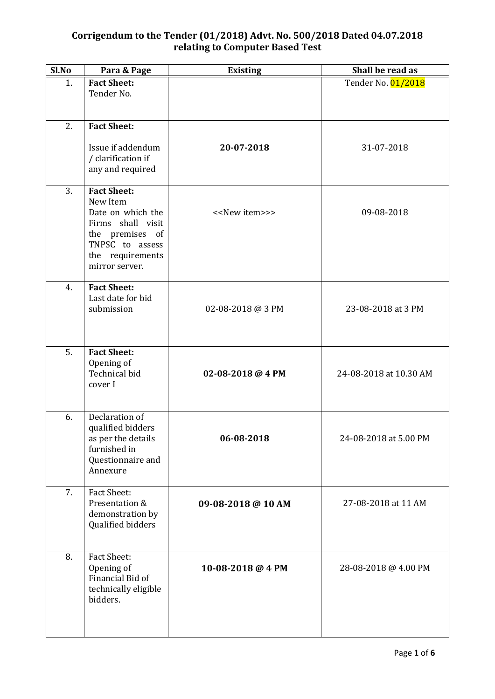| Sl.No | Para & Page                                                                                                                                          | <b>Existing</b>               | Shall be read as       |
|-------|------------------------------------------------------------------------------------------------------------------------------------------------------|-------------------------------|------------------------|
| 1.    | <b>Fact Sheet:</b><br>Tender No.                                                                                                                     |                               | Tender No. 01/2018     |
| 2.    | <b>Fact Sheet:</b>                                                                                                                                   |                               |                        |
|       | Issue if addendum<br>/ clarification if<br>any and required                                                                                          | 20-07-2018                    | 31-07-2018             |
| 3.    | <b>Fact Sheet:</b><br>New Item<br>Date on which the<br>Firms shall visit<br>the premises of<br>TNPSC to assess<br>the requirements<br>mirror server. | < <new item="">&gt;&gt;</new> | 09-08-2018             |
| 4.    | <b>Fact Sheet:</b><br>Last date for bid<br>submission                                                                                                | 02-08-2018 @ 3 PM             | 23-08-2018 at 3 PM     |
| 5.    | <b>Fact Sheet:</b><br>Opening of<br>Technical bid<br>cover I                                                                                         | 02-08-2018 @ 4 PM             | 24-08-2018 at 10.30 AM |
| 6.    | Declaration of<br>qualified bidders<br>as per the details<br>furnished in<br>Questionnaire and<br>Annexure                                           | 06-08-2018                    | 24-08-2018 at 5.00 PM  |
| 7.    | <b>Fact Sheet:</b><br>Presentation &<br>demonstration by<br>Qualified bidders                                                                        | 09-08-2018 @ 10 AM            | 27-08-2018 at 11 AM    |
| 8.    | <b>Fact Sheet:</b><br>Opening of<br>Financial Bid of<br>technically eligible<br>bidders.                                                             | 10-08-2018 @ 4 PM             | 28-08-2018 @ 4.00 PM   |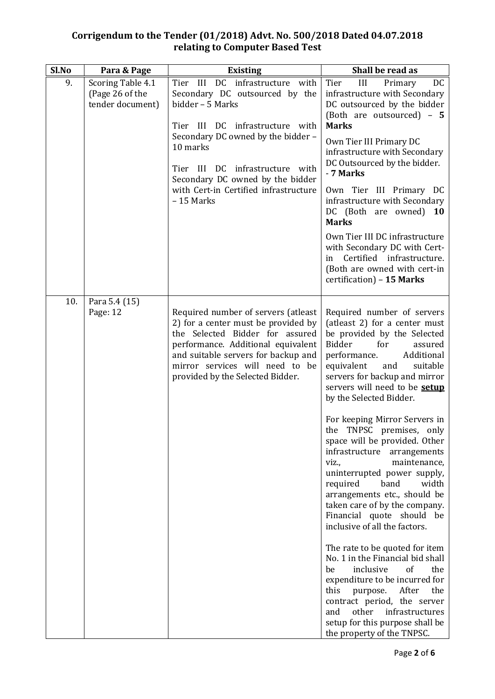| Sl.No | Para & Page                                              | <b>Existing</b>                                                                                                                                                                                                                                                                                           | Shall be read as                                                                                                                                                                                                                                                                                                                                                                                                                                                                                                                                                                                                                                                                                                                                                                                                                                                                                                                                      |
|-------|----------------------------------------------------------|-----------------------------------------------------------------------------------------------------------------------------------------------------------------------------------------------------------------------------------------------------------------------------------------------------------|-------------------------------------------------------------------------------------------------------------------------------------------------------------------------------------------------------------------------------------------------------------------------------------------------------------------------------------------------------------------------------------------------------------------------------------------------------------------------------------------------------------------------------------------------------------------------------------------------------------------------------------------------------------------------------------------------------------------------------------------------------------------------------------------------------------------------------------------------------------------------------------------------------------------------------------------------------|
| 9.    | Scoring Table 4.1<br>(Page 26 of the<br>tender document) | Tier III DC infrastructure with<br>Secondary DC outsourced by the<br>bidder - 5 Marks<br>Tier III DC infrastructure with<br>Secondary DC owned by the bidder -<br>10 marks<br>Tier III DC infrastructure with<br>Secondary DC owned by the bidder<br>with Cert-in Certified infrastructure<br>$-15$ Marks | III<br>Tier<br>Primary<br>DC<br>infrastructure with Secondary<br>DC outsourced by the bidder<br>(Both are outsourced) - 5<br><b>Marks</b><br>Own Tier III Primary DC<br>infrastructure with Secondary<br>DC Outsourced by the bidder.<br>- 7 Marks<br>Own Tier III Primary DC<br>infrastructure with Secondary<br>DC (Both are owned) 10<br><b>Marks</b><br>Own Tier III DC infrastructure<br>with Secondary DC with Cert-<br>Certified infrastructure.<br>in<br>(Both are owned with cert-in<br>certification) - 15 Marks                                                                                                                                                                                                                                                                                                                                                                                                                            |
| 10.   | Para 5.4 (15)<br>Page: 12                                | Required number of servers (atleast<br>2) for a center must be provided by<br>the Selected Bidder for assured<br>performance. Additional equivalent<br>and suitable servers for backup and<br>mirror services will need to be<br>provided by the Selected Bidder.                                         | Required number of servers<br>(atleast 2) for a center must<br>be provided by the Selected<br>Bidder<br>for<br>assured<br>Additional<br>performance.<br>equivalent<br>and<br>suitable<br>servers for backup and mirror<br>servers will need to be setup<br>by the Selected Bidder.<br>For keeping Mirror Servers in<br>the TNPSC premises, only<br>space will be provided. Other<br>infrastructure<br>arrangements<br>viz.,<br>maintenance,<br>uninterrupted power supply,<br>width<br>band<br>required<br>arrangements etc., should be<br>taken care of by the company.<br>Financial quote should be<br>inclusive of all the factors.<br>The rate to be quoted for item<br>No. 1 in the Financial bid shall<br>inclusive<br>of<br>be<br>the<br>expenditure to be incurred for<br>this<br>After<br>the<br>purpose.<br>contract period, the server<br>other<br>infrastructures<br>and<br>setup for this purpose shall be<br>the property of the TNPSC. |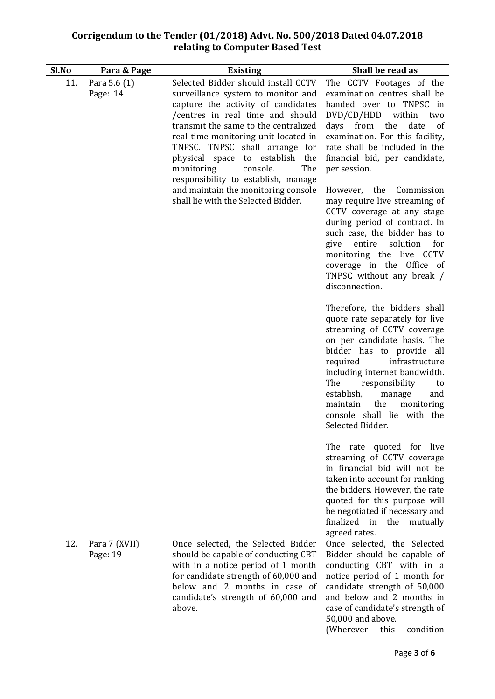| Sl.No | Para & Page               | <b>Existing</b>                                                                                                                                                                                                                                                                                                                                                                                                                                                | Shall be read as                                                                                                                                                                                                                                                                                                                                                         |
|-------|---------------------------|----------------------------------------------------------------------------------------------------------------------------------------------------------------------------------------------------------------------------------------------------------------------------------------------------------------------------------------------------------------------------------------------------------------------------------------------------------------|--------------------------------------------------------------------------------------------------------------------------------------------------------------------------------------------------------------------------------------------------------------------------------------------------------------------------------------------------------------------------|
| 11.   | Para 5.6 (1)<br>Page: 14  | Selected Bidder should install CCTV<br>surveillance system to monitor and<br>capture the activity of candidates<br>/centres in real time and should<br>transmit the same to the centralized<br>real time monitoring unit located in<br>TNPSC. TNPSC shall arrange for<br>physical space to establish the<br>monitoring<br>The<br>console.<br>responsibility to establish, manage<br>and maintain the monitoring console<br>shall lie with the Selected Bidder. | The CCTV Footages of the<br>examination centres shall be<br>handed over to TNPSC in<br>DVD/CD/HDD within<br>two<br>days from<br>the<br>date<br>of<br>examination. For this facility,<br>rate shall be included in the<br>financial bid, per candidate,<br>per session.<br>However, the Commission<br>may require live streaming of                                       |
|       |                           |                                                                                                                                                                                                                                                                                                                                                                                                                                                                | CCTV coverage at any stage<br>during period of contract. In<br>such case, the bidder has to<br>solution<br>entire<br>for<br>give<br>monitoring the live CCTV<br>coverage in the Office of<br>TNPSC without any break /<br>disconnection.                                                                                                                                 |
|       |                           |                                                                                                                                                                                                                                                                                                                                                                                                                                                                | Therefore, the bidders shall<br>quote rate separately for live<br>streaming of CCTV coverage<br>on per candidate basis. The<br>bidder has to provide all<br>required<br>infrastructure<br>including internet bandwidth.<br>The<br>responsibility<br>to<br>establish,<br>manage<br>and<br>maintain<br>the<br>monitoring<br>console shall lie with the<br>Selected Bidder. |
|       |                           |                                                                                                                                                                                                                                                                                                                                                                                                                                                                | The rate quoted for live<br>streaming of CCTV coverage<br>in financial bid will not be<br>taken into account for ranking<br>the bidders. However, the rate<br>quoted for this purpose will<br>be negotiated if necessary and<br>finalized in the<br>mutually<br>agreed rates.                                                                                            |
| 12.   | Para 7 (XVII)<br>Page: 19 | Once selected, the Selected Bidder<br>should be capable of conducting CBT<br>with in a notice period of 1 month<br>for candidate strength of 60,000 and<br>below and 2 months in case of<br>candidate's strength of 60,000 and<br>above.                                                                                                                                                                                                                       | Once selected, the Selected<br>Bidder should be capable of<br>conducting CBT with in a<br>notice period of 1 month for<br>candidate strength of 50,000<br>and below and 2 months in<br>case of candidate's strength of<br>50,000 and above.<br>(Wherever<br>this<br>condition                                                                                            |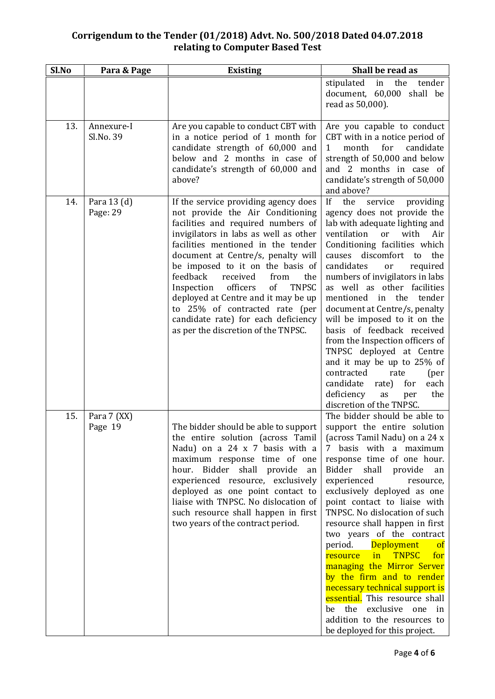| Sl.No | Para & Page             | <b>Existing</b>                                                                                                                                                                                                                                                                                                                                                                                                                                                                                                    | Shall be read as                                                                                                                                                                                                                                                                                                                                                                                                                                                                                                                                                                                                                                                                                                       |
|-------|-------------------------|--------------------------------------------------------------------------------------------------------------------------------------------------------------------------------------------------------------------------------------------------------------------------------------------------------------------------------------------------------------------------------------------------------------------------------------------------------------------------------------------------------------------|------------------------------------------------------------------------------------------------------------------------------------------------------------------------------------------------------------------------------------------------------------------------------------------------------------------------------------------------------------------------------------------------------------------------------------------------------------------------------------------------------------------------------------------------------------------------------------------------------------------------------------------------------------------------------------------------------------------------|
|       |                         |                                                                                                                                                                                                                                                                                                                                                                                                                                                                                                                    | the<br>stipulated in<br>tender<br>document, 60,000 shall be<br>read as 50,000).                                                                                                                                                                                                                                                                                                                                                                                                                                                                                                                                                                                                                                        |
| 13.   | Annexure-I<br>Sl.No. 39 | Are you capable to conduct CBT with<br>in a notice period of 1 month for<br>candidate strength of 60,000 and<br>below and 2 months in case of<br>candidate's strength of 60,000 and<br>above?                                                                                                                                                                                                                                                                                                                      | Are you capable to conduct<br>CBT with in a notice period of<br>$\mathbf{1}$<br>month for<br>candidate<br>strength of 50,000 and below<br>and 2 months in case of<br>candidate's strength of 50,000<br>and above?                                                                                                                                                                                                                                                                                                                                                                                                                                                                                                      |
| 14.   | Para 13 (d)<br>Page: 29 | If the service providing agency does<br>not provide the Air Conditioning<br>facilities and required numbers of<br>invigilators in labs as well as other<br>facilities mentioned in the tender<br>document at Centre/s, penalty will<br>be imposed to it on the basis of<br>feedback<br>the<br>received<br>from<br>Inspection officers<br>of<br><b>TNPSC</b><br>deployed at Centre and it may be up<br>to 25% of contracted rate (per<br>candidate rate) for each deficiency<br>as per the discretion of the TNPSC. | If<br>the<br>service<br>providing<br>agency does not provide the<br>lab with adequate lighting and<br>ventilation<br>with<br>Air<br><sub>or</sub><br>Conditioning facilities which<br>discomfort to<br>the<br>causes<br>candidates<br>required<br>or<br>numbers of invigilators in labs<br>as well as other facilities<br>mentioned in the<br>tender<br>document at Centre/s, penalty<br>will be imposed to it on the<br>basis of feedback received<br>from the Inspection officers of<br>TNPSC deployed at Centre<br>and it may be up to 25% of<br>contracted<br>rate<br>(per<br>candidate<br>each<br>rate)<br>for<br>deficiency<br>the<br>as<br>per<br>discretion of the TNPSC.                                      |
| 15.   | Para 7 (XX)<br>Page 19  | The bidder should be able to support<br>the entire solution (across Tamil<br>Nadu) on a 24 x 7 basis with a<br>maximum response time of one<br>hour. Bidder shall provide<br>an<br>experienced resource, exclusively<br>deployed as one point contact to<br>liaise with TNPSC. No dislocation of<br>such resource shall happen in first<br>two years of the contract period.                                                                                                                                       | The bidder should be able to<br>support the entire solution<br>(across Tamil Nadu) on a 24 x<br>7 basis with a maximum<br>response time of one hour.<br>Bidder<br>shall<br>provide<br>an<br>experienced<br>resource,<br>exclusively deployed as one<br>point contact to liaise with<br>TNPSC. No dislocation of such<br>resource shall happen in first<br>two years of the contract<br><b>Deployment</b><br>period.<br><b>of</b><br><b>TNPSC</b><br>for<br><b>resource</b><br>$\mathbf{in}$<br>managing the Mirror Server<br>by the firm and to render<br>necessary technical support is<br>essential. This resource shall<br>be the exclusive one in<br>addition to the resources to<br>be deployed for this project. |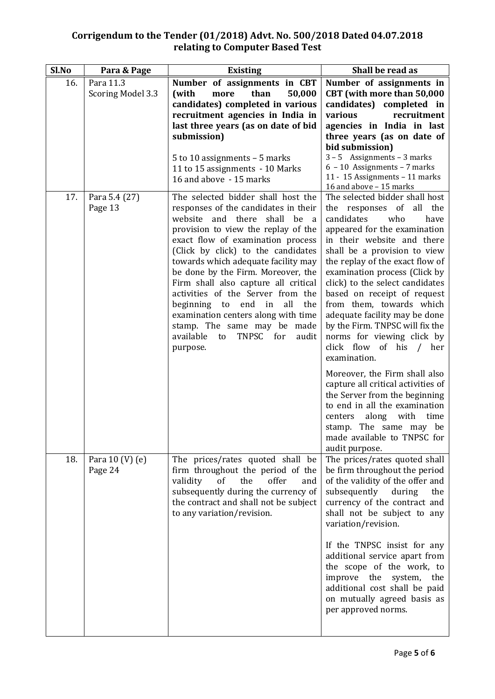| Sl.No | Para & Page                    | <b>Existing</b>                                                                                                                                                                                                                                                                                                                                                                                                                                                                                                                                        | Shall be read as                                                                                                                                                                                                                                                                                                                                                                                                                                                                                                                                                            |
|-------|--------------------------------|--------------------------------------------------------------------------------------------------------------------------------------------------------------------------------------------------------------------------------------------------------------------------------------------------------------------------------------------------------------------------------------------------------------------------------------------------------------------------------------------------------------------------------------------------------|-----------------------------------------------------------------------------------------------------------------------------------------------------------------------------------------------------------------------------------------------------------------------------------------------------------------------------------------------------------------------------------------------------------------------------------------------------------------------------------------------------------------------------------------------------------------------------|
| 16.   | Para 11.3<br>Scoring Model 3.3 | Number of assignments in CBT<br>than<br>50,000<br>(with<br>more                                                                                                                                                                                                                                                                                                                                                                                                                                                                                        | Number of assignments in<br>CBT (with more than 50,000                                                                                                                                                                                                                                                                                                                                                                                                                                                                                                                      |
|       |                                | candidates) completed in various<br>recruitment agencies in India in<br>last three years (as on date of bid<br>submission)<br>5 to 10 assignments $-$ 5 marks<br>11 to 15 assignments - 10 Marks<br>16 and above - 15 marks                                                                                                                                                                                                                                                                                                                            | candidates) completed in<br>various<br>recruitment<br>agencies in India in last<br>three years (as on date of<br>bid submission)<br>$3 - 5$ Assignments – 3 marks<br>$6 - 10$ Assignments - 7 marks<br>11 - 15 Assignments - 11 marks<br>16 and above - 15 marks                                                                                                                                                                                                                                                                                                            |
| 17.   | Para 5.4 (27)<br>Page 13       | The selected bidder shall host the<br>responses of the candidates in their<br>website and there shall be a<br>provision to view the replay of the<br>exact flow of examination process<br>(Click by click) to the candidates<br>towards which adequate facility may<br>be done by the Firm. Moreover, the<br>Firm shall also capture all critical<br>activities of the Server from the<br>beginning to end in<br>all<br>the<br>examination centers along with time<br>stamp. The same may be made<br>available to<br>TNPSC<br>for<br>audit<br>purpose. | The selected bidder shall host<br>the responses of all the<br>candidates<br>who<br>have<br>appeared for the examination<br>in their website and there<br>shall be a provision to view<br>the replay of the exact flow of<br>examination process (Click by<br>click) to the select candidates<br>based on receipt of request<br>from them, towards which<br>adequate facility may be done<br>by the Firm. TNPSC will fix the<br>norms for viewing click by<br>click flow of his / her<br>examination.<br>Moreover, the Firm shall also<br>capture all critical activities of |
|       |                                |                                                                                                                                                                                                                                                                                                                                                                                                                                                                                                                                                        | the Server from the beginning<br>to end in all the examination<br>along<br>with<br>time<br>centers<br>stamp. The same may be<br>made available to TNPSC for<br>audit purpose.                                                                                                                                                                                                                                                                                                                                                                                               |
| 18.   | Para $10 (V) (e)$<br>Page 24   | The prices/rates quoted shall be<br>firm throughout the period of the<br>validity<br>of<br>the<br>offer<br>and<br>subsequently during the currency of<br>the contract and shall not be subject<br>to any variation/revision.                                                                                                                                                                                                                                                                                                                           | The prices/rates quoted shall<br>be firm throughout the period<br>of the validity of the offer and<br>subsequently<br>during<br>the<br>currency of the contract and<br>shall not be subject to any<br>variation/revision.                                                                                                                                                                                                                                                                                                                                                   |
|       |                                |                                                                                                                                                                                                                                                                                                                                                                                                                                                                                                                                                        | If the TNPSC insist for any<br>additional service apart from<br>the scope of the work, to<br>improve the<br>system,<br>the<br>additional cost shall be paid<br>on mutually agreed basis as<br>per approved norms.                                                                                                                                                                                                                                                                                                                                                           |